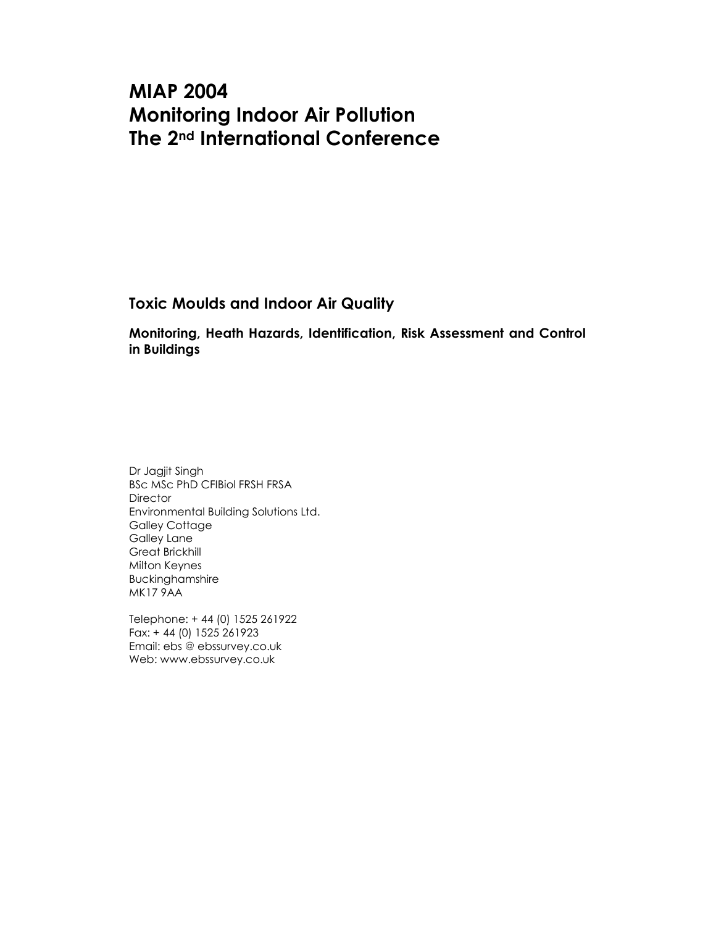# MIAP 2004 Monitoring Indoor Air Pollution The 2nd International Conference

Toxic Moulds and Indoor Air Quality

Monitoring, Heath Hazards, Identification, Risk Assessment and Control in Buildings

Dr Jagjit Singh BSc MSc PhD CFIBiol FRSH FRSA **Director** Environmental Building Solutions Ltd. Galley Cottage Galley Lane Great Brickhill Milton Keynes Buckinghamshire MK17 9AA

Telephone: + 44 (0) 1525 261922 Fax: + 44 (0) 1525 261923 Email: ebs @ ebssurvey.co.uk Web: www.ebssurvey.co.uk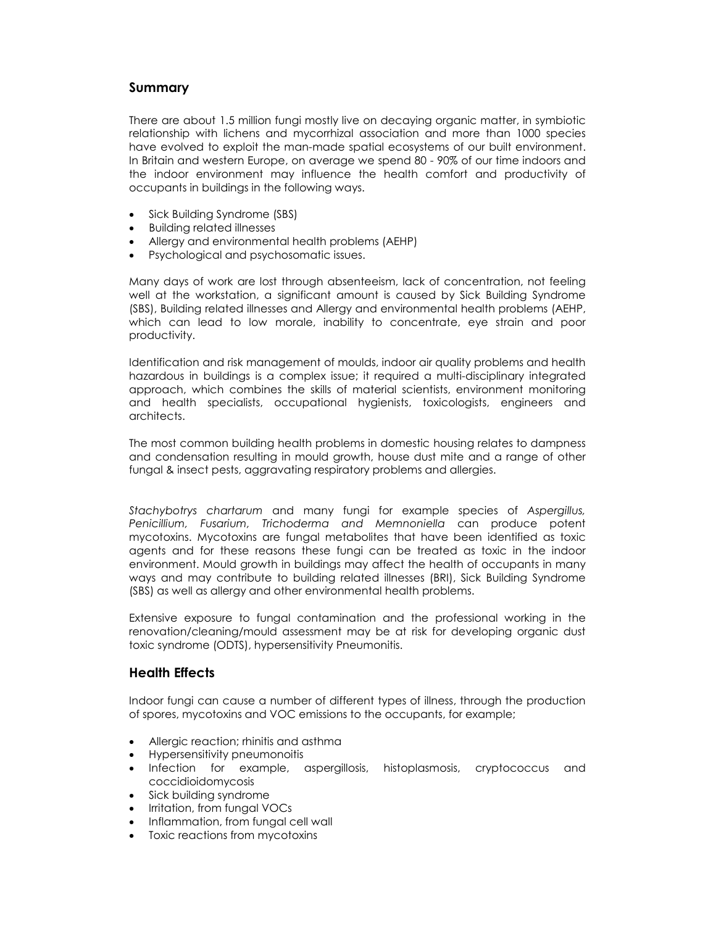# Summary

There are about 1.5 million fungi mostly live on decaying organic matter, in symbiotic relationship with lichens and mycorrhizal association and more than 1000 species have evolved to exploit the man-made spatial ecosystems of our built environment. In Britain and western Europe, on average we spend 80 - 90% of our time indoors and the indoor environment may influence the health comfort and productivity of occupants in buildings in the following ways.

- Sick Building Syndrome (SBS)
- Building related illnesses
- Allergy and environmental health problems (AEHP)
- Psychological and psychosomatic issues.

Many days of work are lost through absenteeism, lack of concentration, not feeling well at the workstation, a significant amount is caused by Sick Building Syndrome (SBS), Building related illnesses and Allergy and environmental health problems (AEHP, which can lead to low morale, inability to concentrate, eye strain and poor productivity.

Identification and risk management of moulds, indoor air quality problems and health hazardous in buildings is a complex issue; it required a multi-disciplinary integrated approach, which combines the skills of material scientists, environment monitoring and health specialists, occupational hygienists, toxicologists, engineers and architects.

The most common building health problems in domestic housing relates to dampness and condensation resulting in mould growth, house dust mite and a range of other fungal & insect pests, aggravating respiratory problems and allergies.

Stachybotrys chartarum and many fungi for example species of Aspergillus, Penicillium, Fusarium, Trichoderma and Memnoniella can produce potent mycotoxins. Mycotoxins are fungal metabolites that have been identified as toxic agents and for these reasons these fungi can be treated as toxic in the indoor environment. Mould growth in buildings may affect the health of occupants in many ways and may contribute to building related illnesses (BRI), Sick Building Syndrome (SBS) as well as allergy and other environmental health problems.

Extensive exposure to fungal contamination and the professional working in the renovation/cleaning/mould assessment may be at risk for developing organic dust toxic syndrome (ODTS), hypersensitivity Pneumonitis.

# Health Effects

Indoor fungi can cause a number of different types of illness, through the production of spores, mycotoxins and VOC emissions to the occupants, for example;

- Allergic reaction; rhinitis and asthma
- Hypersensitivity pneumonoitis
- Infection for example, aspergillosis, histoplasmosis, cryptococcus and coccidioidomycosis
- Sick building syndrome
- Irritation, from fungal VOCs
- Inflammation, from fungal cell wall
- Toxic reactions from mycotoxins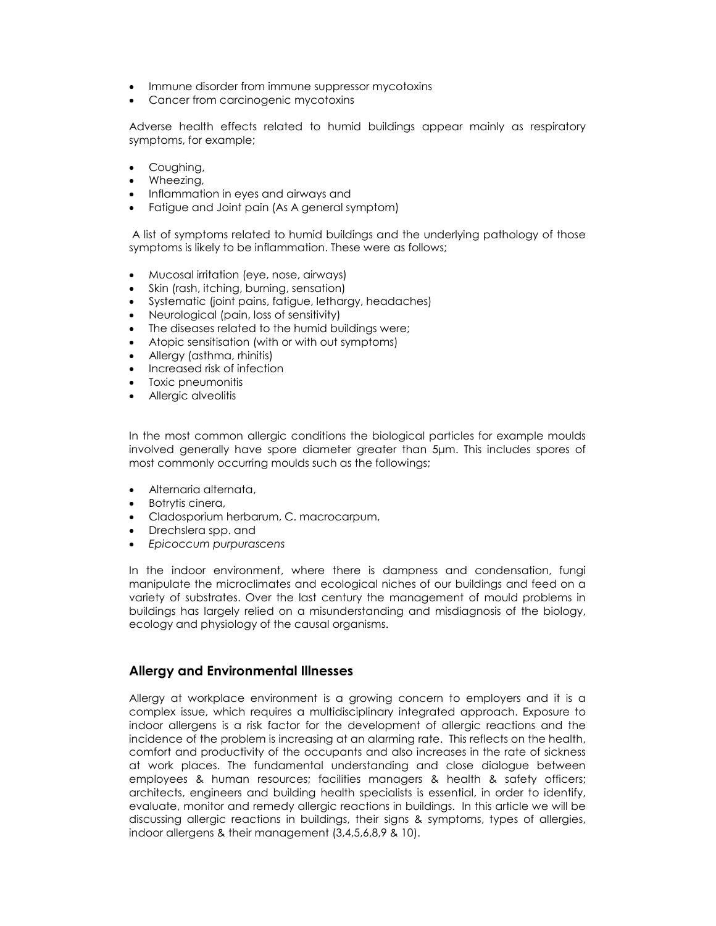- Immune disorder from immune suppressor mycotoxins
- Cancer from carcinogenic mycotoxins

Adverse health effects related to humid buildings appear mainly as respiratory symptoms, for example;

- Coughing,
- Wheezing,
- Inflammation in eyes and airways and
- Fatigue and Joint pain (As A general symptom)

 A list of symptoms related to humid buildings and the underlying pathology of those symptoms is likely to be inflammation. These were as follows;

- Mucosal irritation (eye, nose, airways)
- Skin (rash, itching, burning, sensation)
- Systematic (joint pains, fatigue, lethargy, headaches)
- Neurological (pain, loss of sensitivity)
- The diseases related to the humid buildings were;
- Atopic sensitisation (with or with out symptoms)
- Allergy (asthma, rhinitis)
- Increased risk of infection
- Toxic pneumonitis
- Allergic alveolitis

In the most common allergic conditions the biological particles for example moulds involved generally have spore diameter greater than 5µm. This includes spores of most commonly occurring moulds such as the followings;

- Alternaria alternata,
- Botrytis cinera,
- Cladosporium herbarum, C. macrocarpum,
- Drechslera spp. and
- Epicoccum purpurascens

In the indoor environment, where there is dampness and condensation, fungi manipulate the microclimates and ecological niches of our buildings and feed on a variety of substrates. Over the last century the management of mould problems in buildings has largely relied on a misunderstanding and misdiagnosis of the biology, ecology and physiology of the causal organisms.

## Allergy and Environmental Illnesses

Allergy at workplace environment is a growing concern to employers and it is a complex issue, which requires a multidisciplinary integrated approach. Exposure to indoor allergens is a risk factor for the development of allergic reactions and the incidence of the problem is increasing at an alarming rate. This reflects on the health, comfort and productivity of the occupants and also increases in the rate of sickness at work places. The fundamental understanding and close dialogue between employees & human resources; facilities managers & health & safety officers; architects, engineers and building health specialists is essential, in order to identify, evaluate, monitor and remedy allergic reactions in buildings. In this article we will be discussing allergic reactions in buildings, their signs & symptoms, types of allergies, indoor allergens & their management (3,4,5,6,8,9 & 10).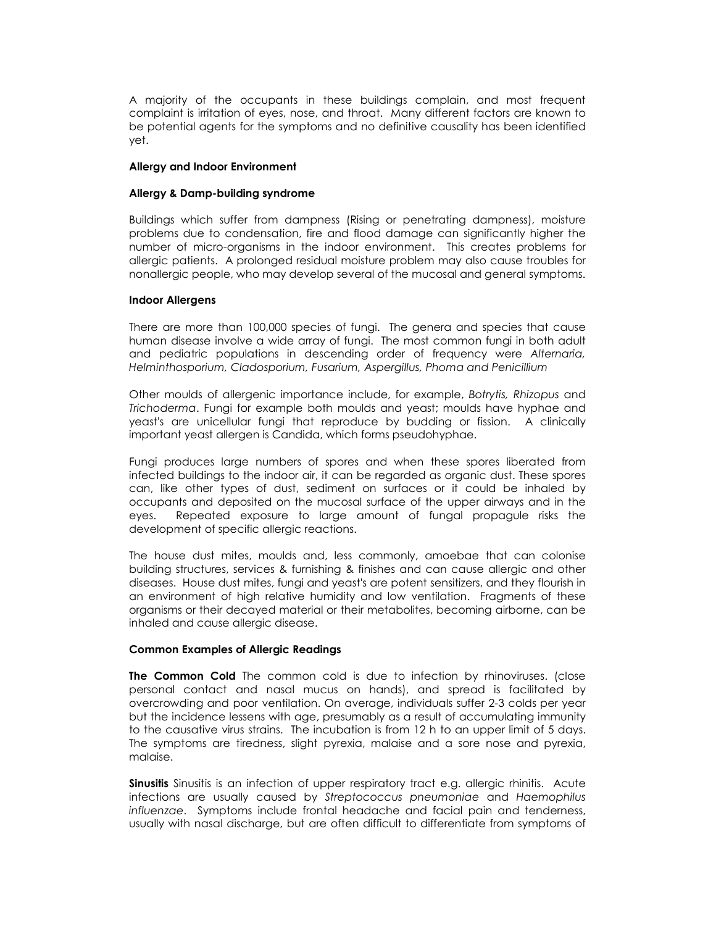A majority of the occupants in these buildings complain, and most frequent complaint is irritation of eyes, nose, and throat. Many different factors are known to be potential agents for the symptoms and no definitive causality has been identified yet.

### Allergy and Indoor Environment

#### Allergy & Damp-building syndrome

Buildings which suffer from dampness (Rising or penetrating dampness), moisture problems due to condensation, fire and flood damage can significantly higher the number of micro-organisms in the indoor environment. This creates problems for allergic patients. A prolonged residual moisture problem may also cause troubles for nonallergic people, who may develop several of the mucosal and general symptoms.

#### Indoor Allergens

There are more than 100,000 species of fungi. The genera and species that cause human disease involve a wide array of fungi. The most common fungi in both adult and pediatric populations in descending order of frequency were Alternaria, Helminthosporium, Cladosporium, Fusarium, Aspergillus, Phoma and Penicillium

Other moulds of allergenic importance include, for example, Botrytis, Rhizopus and Trichoderma. Fungi for example both moulds and yeast; moulds have hyphae and yeast's are unicellular fungi that reproduce by budding or fission. A clinically important yeast allergen is Candida, which forms pseudohyphae.

Fungi produces large numbers of spores and when these spores liberated from infected buildings to the indoor air, it can be regarded as organic dust. These spores can, like other types of dust, sediment on surfaces or it could be inhaled by occupants and deposited on the mucosal surface of the upper airways and in the eyes. Repeated exposure to large amount of fungal propagule risks the development of specific allergic reactions.

The house dust mites, moulds and, less commonly, amoebae that can colonise building structures, services & furnishing & finishes and can cause allergic and other diseases. House dust mites, fungi and yeast's are potent sensitizers, and they flourish in an environment of high relative humidity and low ventilation. Fragments of these organisms or their decayed material or their metabolites, becoming airborne, can be inhaled and cause allergic disease.

## Common Examples of Allergic Readings

The Common Cold The common cold is due to infection by rhinoviruses. (close personal contact and nasal mucus on hands), and spread is facilitated by overcrowding and poor ventilation. On average, individuals suffer 2-3 colds per year but the incidence lessens with age, presumably as a result of accumulating immunity to the causative virus strains. The incubation is from 12 h to an upper limit of 5 days. The symptoms are tiredness, slight pyrexia, malaise and a sore nose and pyrexia, malaise.

**Sinusitis** Sinusitis is an infection of upper respiratory tract e.g. allergic rhinitis. Acute infections are usually caused by Streptococcus pneumoniae and Haemophilus influenzae. Symptoms include frontal headache and facial pain and tenderness, usually with nasal discharge, but are often difficult to differentiate from symptoms of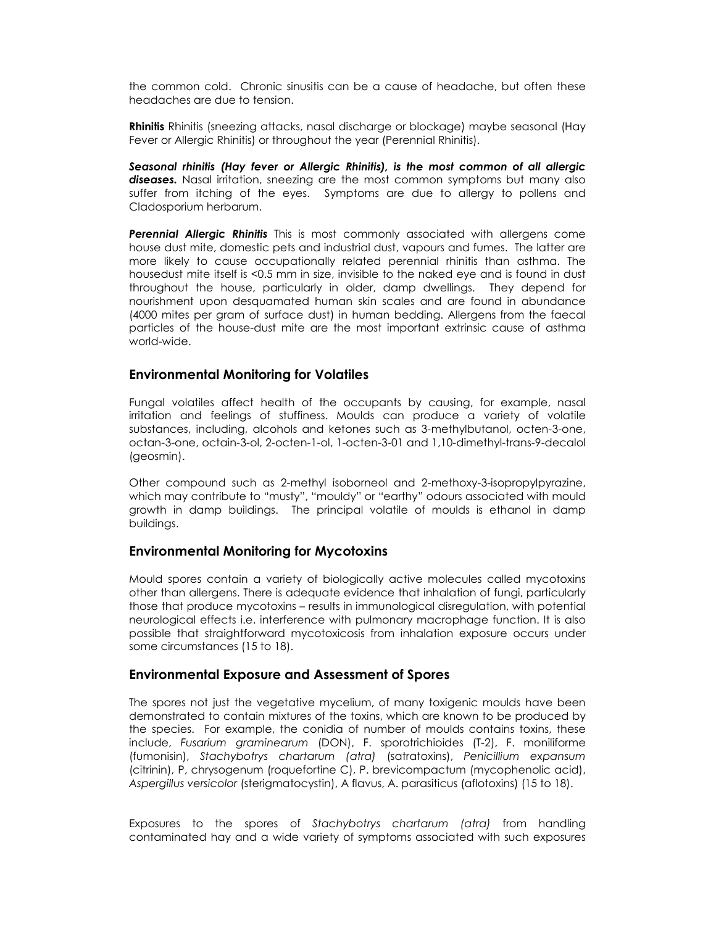the common cold. Chronic sinusitis can be a cause of headache, but often these headaches are due to tension.

**Rhinitis** Rhinitis (sneezing attacks, nasal discharge or blockage) maybe seasonal (Hay Fever or Allergic Rhinitis) or throughout the year (Perennial Rhinitis).

Seasonal rhinitis (Hay fever or Allergic Rhinitis), is the most common of all allergic diseases. Nasal irritation, sneezing are the most common symptoms but many also suffer from itching of the eyes. Symptoms are due to allergy to pollens and Cladosporium herbarum.

**Perennial Allergic Rhinitis** This is most commonly associated with allergens come house dust mite, domestic pets and industrial dust, vapours and fumes. The latter are more likely to cause occupationally related perennial rhinitis than asthma. The housedust mite itself is <0.5 mm in size, invisible to the naked eye and is found in dust throughout the house, particularly in older, damp dwellings. They depend for nourishment upon desquamated human skin scales and are found in abundance (4000 mites per gram of surface dust) in human bedding. Allergens from the faecal particles of the house-dust mite are the most important extrinsic cause of asthma world-wide.

# Environmental Monitoring for Volatiles

Fungal volatiles affect health of the occupants by causing, for example, nasal irritation and feelings of stuffiness. Moulds can produce a variety of volatile substances, including, alcohols and ketones such as 3-methylbutanol, octen-3-one, octan-3-one, octain-3-ol, 2-octen-1-ol, 1-octen-3-01 and 1,10-dimethyl-trans-9-decalol (geosmin).

Other compound such as 2-methyl isoborneol and 2-methoxy-3-isopropylpyrazine, which may contribute to "musty", "mouldy" or "earthy" odours associated with mould growth in damp buildings. The principal volatile of moulds is ethanol in damp buildings.

# Environmental Monitoring for Mycotoxins

Mould spores contain a variety of biologically active molecules called mycotoxins other than allergens. There is adequate evidence that inhalation of fungi, particularly those that produce mycotoxins – results in immunological disregulation, with potential neurological effects i.e. interference with pulmonary macrophage function. It is also possible that straightforward mycotoxicosis from inhalation exposure occurs under some circumstances (15 to 18).

# Environmental Exposure and Assessment of Spores

The spores not just the vegetative mycelium, of many toxigenic moulds have been demonstrated to contain mixtures of the toxins, which are known to be produced by the species. For example, the conidia of number of moulds contains toxins, these include, Fusarium graminearum (DON), F. sporotrichioides (T-2), F. moniliforme (fumonisin), Stachybotrys chartarum (atra) (satratoxins), Penicillium expansum (citrinin), P, chrysogenum (roquefortine C), P. brevicompactum (mycophenolic acid), Aspergillus versicolor (sterigmatocystin), A flavus, A. parasiticus (aflotoxins) (15 to 18).

Exposures to the spores of Stachybotrys chartarum (atra) from handling contaminated hay and a wide variety of symptoms associated with such exposures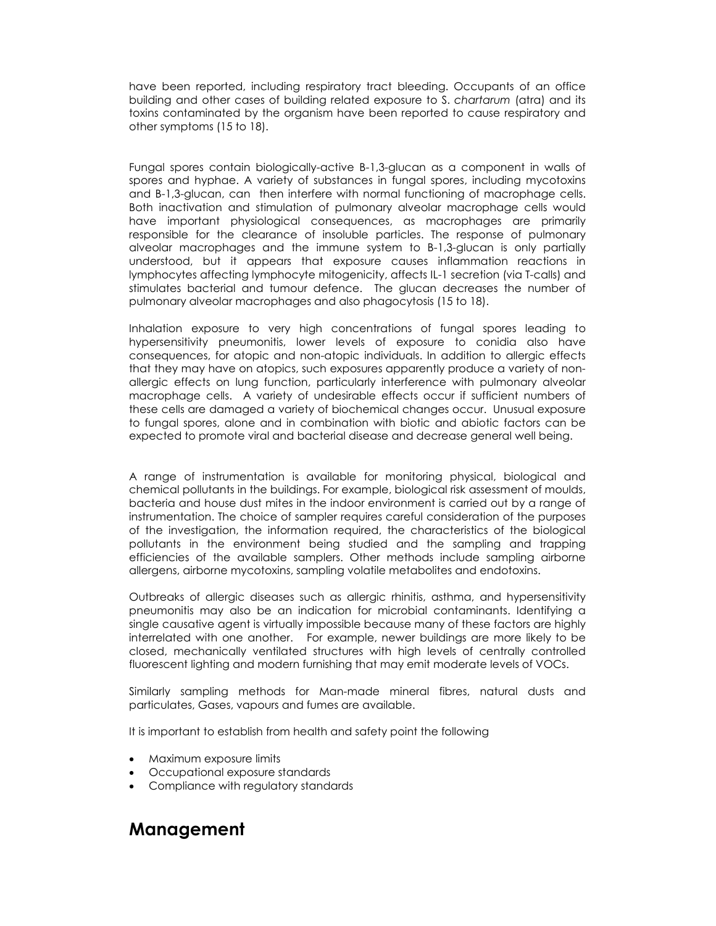have been reported, including respiratory tract bleeding. Occupants of an office building and other cases of building related exposure to S. chartarum (atra) and its toxins contaminated by the organism have been reported to cause respiratory and other symptoms (15 to 18).

Fungal spores contain biologically-active B-1,3-glucan as a component in walls of spores and hyphae. A variety of substances in fungal spores, including mycotoxins and B-1,3-glucan, can then interfere with normal functioning of macrophage cells. Both inactivation and stimulation of pulmonary alveolar macrophage cells would have important physiological consequences, as macrophages are primarily responsible for the clearance of insoluble particles. The response of pulmonary alveolar macrophages and the immune system to B-1,3-glucan is only partially understood, but it appears that exposure causes inflammation reactions in lymphocytes affecting lymphocyte mitogenicity, affects IL-1 secretion (via T-calls) and stimulates bacterial and tumour defence. The glucan decreases the number of pulmonary alveolar macrophages and also phagocytosis (15 to 18).

Inhalation exposure to very high concentrations of fungal spores leading to hypersensitivity pneumonitis, lower levels of exposure to conidia also have consequences, for atopic and non-atopic individuals. In addition to allergic effects that they may have on atopics, such exposures apparently produce a variety of nonallergic effects on lung function, particularly interference with pulmonary alveolar macrophage cells. A variety of undesirable effects occur if sufficient numbers of these cells are damaged a variety of biochemical changes occur. Unusual exposure to fungal spores, alone and in combination with biotic and abiotic factors can be expected to promote viral and bacterial disease and decrease general well being.

A range of instrumentation is available for monitoring physical, biological and chemical pollutants in the buildings. For example, biological risk assessment of moulds, bacteria and house dust mites in the indoor environment is carried out by a range of instrumentation. The choice of sampler requires careful consideration of the purposes of the investigation, the information required, the characteristics of the biological pollutants in the environment being studied and the sampling and trapping efficiencies of the available samplers. Other methods include sampling airborne allergens, airborne mycotoxins, sampling volatile metabolites and endotoxins.

Outbreaks of allergic diseases such as allergic rhinitis, asthma, and hypersensitivity pneumonitis may also be an indication for microbial contaminants. Identifying a single causative agent is virtually impossible because many of these factors are highly interrelated with one another. For example, newer buildings are more likely to be closed, mechanically ventilated structures with high levels of centrally controlled fluorescent lighting and modern furnishing that may emit moderate levels of VOCs.

Similarly sampling methods for Man-made mineral fibres, natural dusts and particulates, Gases, vapours and fumes are available.

It is important to establish from health and safety point the following

- Maximum exposure limits
- Occupational exposure standards
- Compliance with regulatory standards

# Management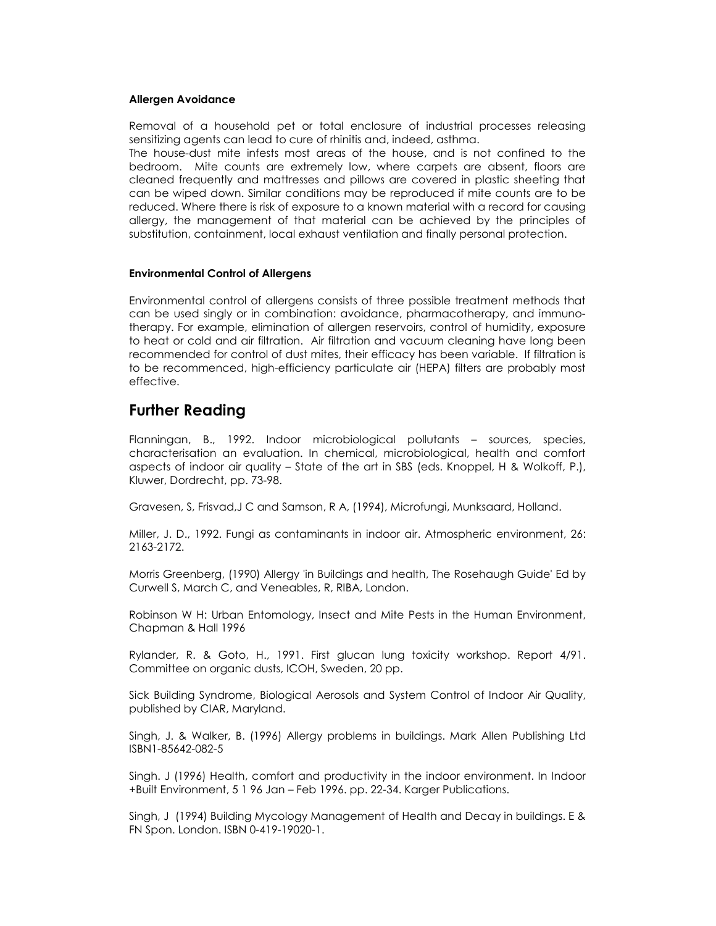#### Allergen Avoidance

Removal of a household pet or total enclosure of industrial processes releasing sensitizing agents can lead to cure of rhinitis and, indeed, asthma. The house-dust mite infests most areas of the house, and is not confined to the bedroom. Mite counts are extremely low, where carpets are absent, floors are cleaned frequently and mattresses and pillows are covered in plastic sheeting that can be wiped down. Similar conditions may be reproduced if mite counts are to be reduced. Where there is risk of exposure to a known material with a record for causing allergy, the management of that material can be achieved by the principles of substitution, containment, local exhaust ventilation and finally personal protection.

#### Environmental Control of Allergens

Environmental control of allergens consists of three possible treatment methods that can be used singly or in combination: avoidance, pharmacotherapy, and immunotherapy. For example, elimination of allergen reservoirs, control of humidity, exposure to heat or cold and air filtration. Air filtration and vacuum cleaning have long been recommended for control of dust mites, their efficacy has been variable. If filtration is to be recommenced, high-efficiency particulate air (HEPA) filters are probably most effective.

# Further Reading

Flanningan, B., 1992. Indoor microbiological pollutants – sources, species, characterisation an evaluation. In chemical, microbiological, health and comfort aspects of indoor air quality – State of the art in SBS (eds. Knoppel, H & Wolkoff, P.), Kluwer, Dordrecht, pp. 73-98.

Gravesen, S, Frisvad,J C and Samson, R A, (1994), Microfungi, Munksaard, Holland.

Miller, J. D., 1992. Fungi as contaminants in indoor air. Atmospheric environment, 26: 2163-2172.

Morris Greenberg, (1990) Allergy 'in Buildings and health, The Rosehaugh Guide' Ed by Curwell S, March C, and Veneables, R, RIBA, London.

Robinson W H: Urban Entomology, Insect and Mite Pests in the Human Environment, Chapman & Hall 1996

Rylander, R. & Goto, H., 1991. First glucan lung toxicity workshop. Report 4/91. Committee on organic dusts, ICOH, Sweden, 20 pp.

Sick Building Syndrome, Biological Aerosols and System Control of Indoor Air Quality, published by CIAR, Maryland.

Singh, J. & Walker, B. (1996) Allergy problems in buildings. Mark Allen Publishing Ltd ISBN1-85642-082-5

Singh. J (1996) Health, comfort and productivity in the indoor environment. In Indoor +Built Environment, 5 1 96 Jan – Feb 1996. pp. 22-34. Karger Publications.

Singh, J (1994) Building Mycology Management of Health and Decay in buildings. E & FN Spon. London. ISBN 0-419-19020-1.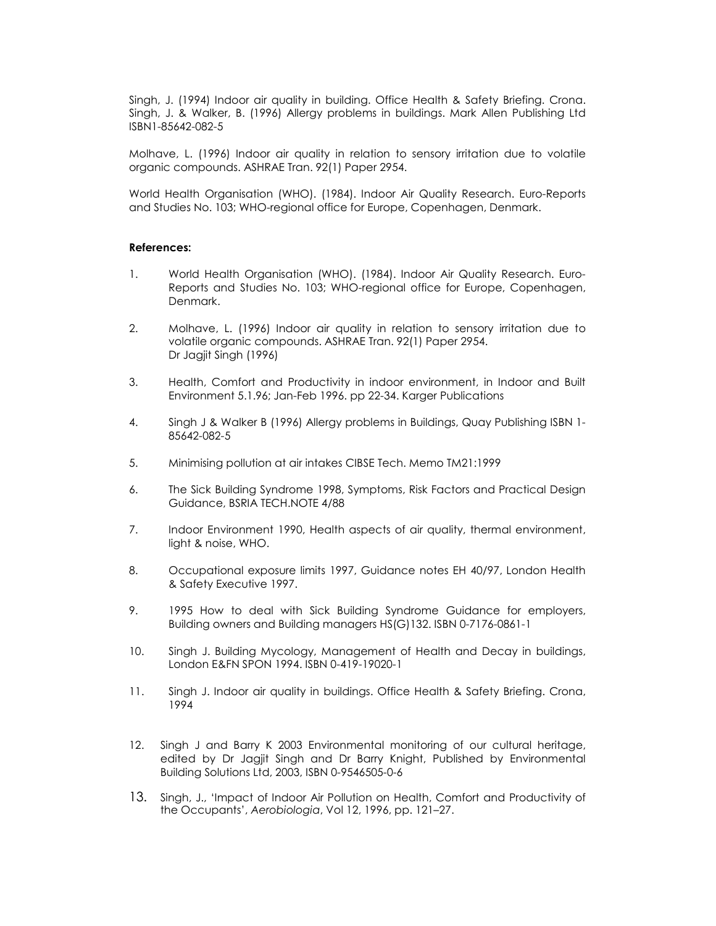Singh, J. (1994) Indoor air quality in building. Office Health & Safety Briefing. Crona. Singh, J. & Walker, B. (1996) Allergy problems in buildings. Mark Allen Publishing Ltd ISBN1-85642-082-5

Molhave, L. (1996) Indoor air quality in relation to sensory irritation due to volatile organic compounds. ASHRAE Tran. 92(1) Paper 2954.

World Health Organisation (WHO). (1984). Indoor Air Quality Research. Euro-Reports and Studies No. 103; WHO-regional office for Europe, Copenhagen, Denmark.

#### References:

- 1. World Health Organisation (WHO). (1984). Indoor Air Quality Research. Euro-Reports and Studies No. 103; WHO-regional office for Europe, Copenhagen, Denmark.
- 2. Molhave, L. (1996) Indoor air quality in relation to sensory irritation due to volatile organic compounds. ASHRAE Tran. 92(1) Paper 2954. Dr Jagjit Singh (1996)
- 3. Health, Comfort and Productivity in indoor environment, in Indoor and Built Environment 5.1.96; Jan-Feb 1996. pp 22-34. Karger Publications
- 4. Singh J & Walker B (1996) Allergy problems in Buildings, Quay Publishing ISBN 1- 85642-082-5
- 5. Minimising pollution at air intakes CIBSE Tech. Memo TM21:1999
- 6. The Sick Building Syndrome 1998, Symptoms, Risk Factors and Practical Design Guidance, BSRIA TECH.NOTE 4/88
- 7. Indoor Environment 1990, Health aspects of air quality, thermal environment, light & noise, WHO.
- 8. Occupational exposure limits 1997, Guidance notes EH 40/97, London Health & Safety Executive 1997.
- 9. 1995 How to deal with Sick Building Syndrome Guidance for employers, Building owners and Building managers HS(G)132. ISBN 0-7176-0861-1
- 10. Singh J. Building Mycology, Management of Health and Decay in buildings, London E&FN SPON 1994. ISBN 0-419-19020-1
- 11. Singh J. Indoor air quality in buildings. Office Health & Safety Briefing. Crona, 1994
- 12. Singh J and Barry K 2003 Environmental monitoring of our cultural heritage, edited by Dr Jagjit Singh and Dr Barry Knight, Published by Environmental Building Solutions Ltd, 2003, ISBN 0-9546505-0-6
- 13. Singh, J., 'Impact of Indoor Air Pollution on Health, Comfort and Productivity of the Occupants', Aerobiologia, Vol 12, 1996, pp. 121–27.